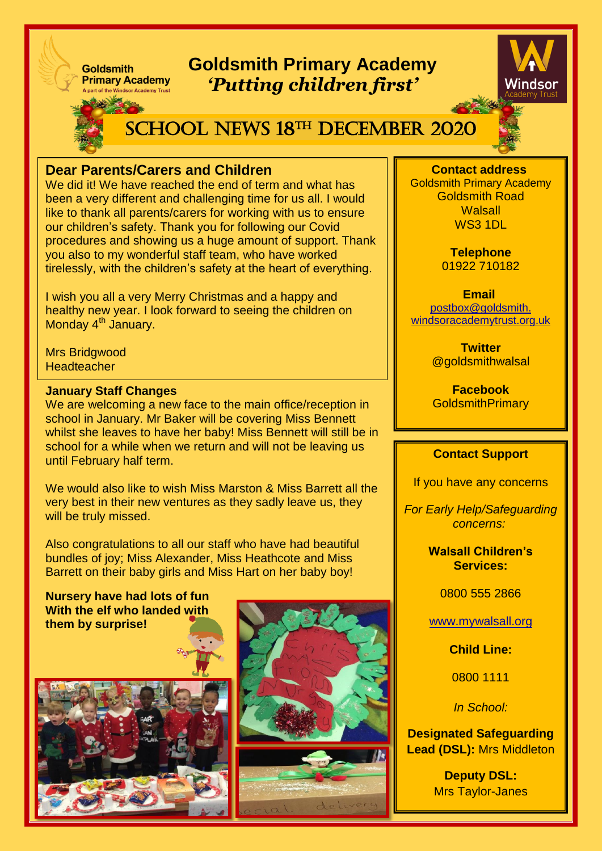## **Goldsmith Primary Academy** *'Putting children first'*



# SCHOOL NEWS 18<sup>th</sup> DECEMBER 2020

### **Dear Parents/Carers and Children**

We did it! We have reached the end of term and what has been a very different and challenging time for us all. I would like to thank all parents/carers for working with us to ensure our children's safety. Thank you for following our Covid procedures and showing us a huge amount of support. Thank you also to my wonderful staff team, who have worked tirelessly, with the children's safety at the heart of everything.

I wish you all a very Merry Christmas and a happy and healthy new year. I look forward to seeing the children on Monday 4<sup>th</sup> January.

Mrs Bridgwood **Headteacher** 

#### **January Staff Changes**

**Goldsmith** 

**Primary Academy** 

We are welcoming a new face to the main office/reception in school in January. Mr Baker will be covering Miss Bennett whilst she leaves to have her baby! Miss Bennett will still be in school for a while when we return and will not be leaving us until February half term.

We would also like to wish Miss Marston & Miss Barrett all the very best in their new ventures as they sadly leave us, they will be truly missed.

Also congratulations to all our staff who have had beautiful bundles of joy; Miss Alexander, Miss Heathcote and Miss Barrett on their baby girls and Miss Hart on her baby boy!

**Nursery have had lots of fun With the elf who landed with them by surprise!** 





**Contact address** Goldsmith Primary Academy Goldsmith Road **Walsall** WS3 1DL

> **Telephone** 01922 710182

**Email** [postbox@goldsmith.](mailto:postbox@goldsmith.windsoracademytrust.org.uk) [windsoracademytrust.org.uk](mailto:postbox@goldsmith.windsoracademytrust.org.uk)

> **Twitter** @goldsmithwalsal

> **Facebook GoldsmithPrimary**

#### **Contact Support**

If you have any concerns

*For Early Help/Safeguarding concerns:*

> **Walsall Children's Services:**

> > 0800 555 2866

[www.mywalsall.org](http://www.mywalsall.org/)

**Child Line:**

0800 1111

*In School:*

**Designated Safeguarding Lead (DSL):** Mrs Middleton

> **Deputy DSL:**  Mrs Taylor-Janes